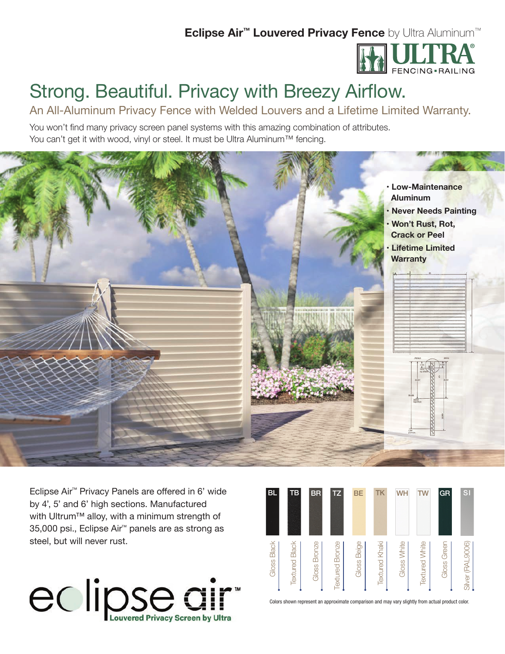## **Eclipse Air™ Louvered Privacy Fence** by Ultra Aluminum™



# Strong. Beautiful. Privacy with Breezy Airflow.

An All-Aluminum Privacy Fence with Welded Louvers and a Lifetime Limited Warranty.

You won't find many privacy screen panel systems with this amazing combination of attributes. You can't get it with wood, vinyl or steel. It must be Ultra Aluminum™ fencing.



Eclipse Air<sup>™</sup> Privacy Panels are offered in 6' wide by 4', 5' and 6' high sections. Manufactured with Ultrum™ alloy, with a minimum strength of 35,000 psi., Eclipse Air™ panels are as strong as steel, but will never rust.



| BL.                                                                                               | <b>TB</b>             | <b>BR</b>       | <b>TZ</b>              | <b>BE</b>      | TK                    | WH          | TW                    | <b>GR</b>   | <b>SI</b>         |
|---------------------------------------------------------------------------------------------------|-----------------------|-----------------|------------------------|----------------|-----------------------|-------------|-----------------------|-------------|-------------------|
| Gloss Black                                                                                       | <b>Textured Black</b> | Bronze<br>Gloss | <b>Textured Bronze</b> | Beige<br>Gloss | <b>Textured Khaki</b> | Gloss White | <b>Textured White</b> | Gloss Greer | Silver (RAL 9006) |
| Colors shown represent an approximate comparison and may vary slightly from actual product color. |                       |                 |                        |                |                       |             |                       |             |                   |